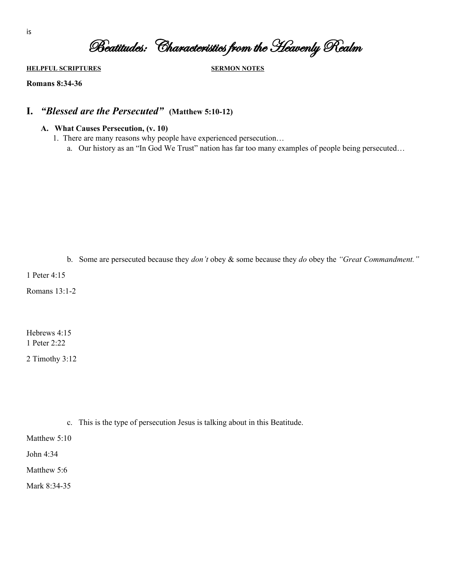Beatitudes: Characteristics from the Heavenly Realm

**HELPFUL SCRIPTURES SERMON NOTES**

**Romans 8:34-36**

# **I.** *"Blessed are the Persecuted"* **(Matthew 5:10-12)**

- **A. What Causes Persecution, (v. 10)**
	- 1. There are many reasons why people have experienced persecution…
		- a. Our history as an "In God We Trust" nation has far too many examples of people being persecuted…

b. Some are persecuted because they *don't* obey & some because they *do* obey the *"Great Commandment."*

1 Peter 4:15

Romans 13:1-2

Hebrews 4:15 1 Peter 2:22

2 Timothy 3:12

c. This is the type of persecution Jesus is talking about in this Beatitude.

Matthew 5:10

John 4:34

Matthew 5:6

Mark 8:34-35